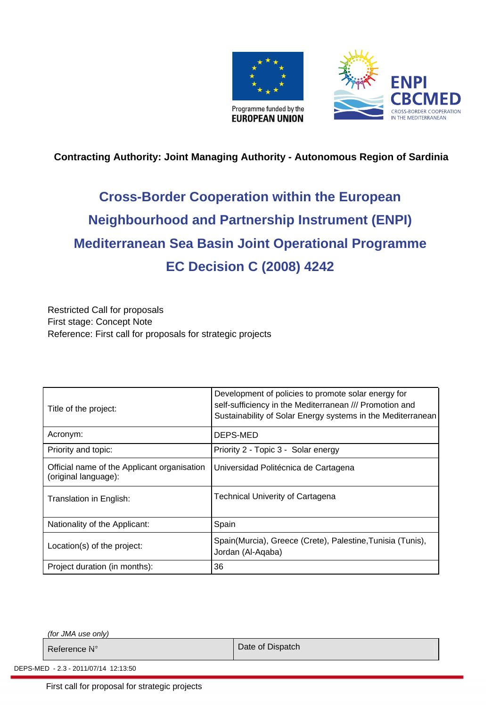



### **Contracting Authority: Joint Managing Authority - Autonomous Region of Sardinia**

# **Cross-Border Cooperation within the European Neighbourhood and Partnership Instrument (ENPI) Mediterranean Sea Basin Joint Operational Programme EC Decision C (2008) 4242**

Restricted Call for proposals First stage: Concept Note Reference: First call for proposals for strategic projects

| Title of the project:                                               | Development of policies to promote solar energy for<br>self-sufficiency in the Mediterranean /// Promotion and<br>Sustainability of Solar Energy systems in the Mediterranean |
|---------------------------------------------------------------------|-------------------------------------------------------------------------------------------------------------------------------------------------------------------------------|
| Acronym:                                                            | DEPS-MED                                                                                                                                                                      |
| Priority and topic:                                                 | Priority 2 - Topic 3 - Solar energy                                                                                                                                           |
| Official name of the Applicant organisation<br>(original language): | Universidad Politécnica de Cartagena                                                                                                                                          |
| Translation in English:                                             | <b>Technical Univerity of Cartagena</b>                                                                                                                                       |
| Nationality of the Applicant:                                       | Spain                                                                                                                                                                         |
| Location(s) of the project:                                         | Spain(Murcia), Greece (Crete), Palestine, Tunisia (Tunis),<br>Jordan (Al-Aqaba)                                                                                               |
| Project duration (in months):                                       | 36                                                                                                                                                                            |

*(for JMA use only)* 

Reference N° 1999 and 1999 and 1999 and 1999 and 1999 and 1999 and 1999 and 1999 and 1999 and 1999 and 1999 and 1999 and 1999 and 1999 and 1999 and 1999 and 1999 and 1999 and 1999 and 1999 and 1999 and 1999 and 1999 and 19

DEPS-MED - 2.3 - 2011/07/14 12:13:50

First call for proposal for strategic projects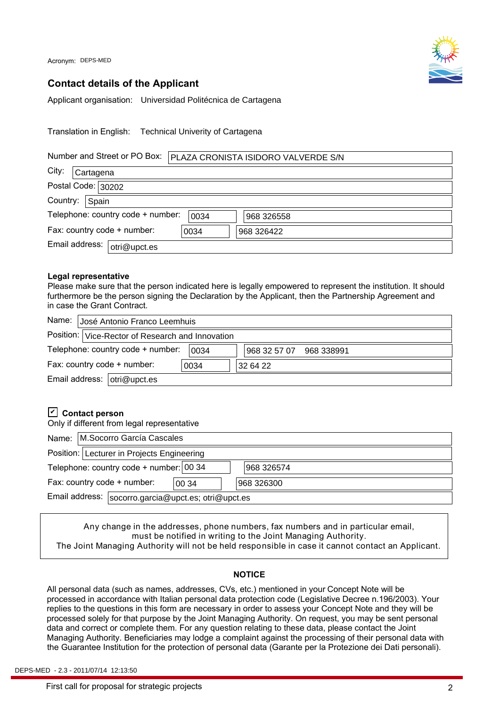

### **Contact details of the Applicant**

Applicant organisation: Universidad Politécnica de Cartagena

Translation in English: Technical Univerity of Cartagena

|                |                             | Number and Street or PO Box:      |      | PLAZA CRONISTA ISIDORO VALVERDE S/N |
|----------------|-----------------------------|-----------------------------------|------|-------------------------------------|
| City:          | Cartagena                   |                                   |      |                                     |
|                | Postal Code: $\sqrt{30202}$ |                                   |      |                                     |
| Country: Spain |                             |                                   |      |                                     |
|                |                             | Telephone: country code + number: | 0034 | 968 326558                          |
|                |                             | Fax: country code + number:       | 0034 | 968 326422                          |
|                | Email address:              | otri@upct.es                      |      |                                     |

#### **Legal representative**

Please make sure that the person indicated here is legally empowered to represent the institution. It should furthermore be the person signing the Declaration by the Applicant, then the Partnership Agreement and in case the Grant Contract.

|                                                                         | Name: José Antonio Franco Leemhuis |      |  |          |  |
|-------------------------------------------------------------------------|------------------------------------|------|--|----------|--|
| Position: Vice-Rector of Research and Innovation                        |                                    |      |  |          |  |
| Telephone: country code + number:<br>0034<br>968 32 57 07<br>968 338991 |                                    |      |  |          |  |
|                                                                         | Fax: country code + number:        | 0034 |  | 32 64 22 |  |
|                                                                         | Email address:   otri@upct.es      |      |  |          |  |

### **□ Contact person** ✔

Only if different from legal representative

| Name: M. Socorro García Cascales                      |            |  |  |
|-------------------------------------------------------|------------|--|--|
| Position:   Lecturer in Projects Engineering          |            |  |  |
| Telephone: country code + number: 00 34<br>968 326574 |            |  |  |
| Fax: country code + number:<br> 0034                  | 968 326300 |  |  |
| Email address: socorro.garcia@upct.es; otri@upct.es   |            |  |  |

Any change in the addresses, phone numbers, fax numbers and in particular email, must be notified in writing to the Joint Managing Authority. The Joint Managing Authority will not be held responsible in case it cannot contact an Applicant.

#### **NOTICE**

All personal data (such as names, addresses, CVs, etc.) mentioned in your Concept Note will be processed in accordance with Italian personal data protection code (Legislative Decree n.196/2003). Your replies to the questions in this form are necessary in order to assess your Concept Note and they will be processed solely for that purpose by the Joint Managing Authority. On request, you may be sent personal data and correct or complete them. For any question relating to these data, please contact the Joint Managing Authority. Beneficiaries may lodge a complaint against the processing of their personal data with the Guarantee Institution for the protection of personal data (Garante per la Protezione dei Dati personali).

DEPS-MED - 2.3 - 2011/07/14 12:13:50

First call for proposal for strategic projects 2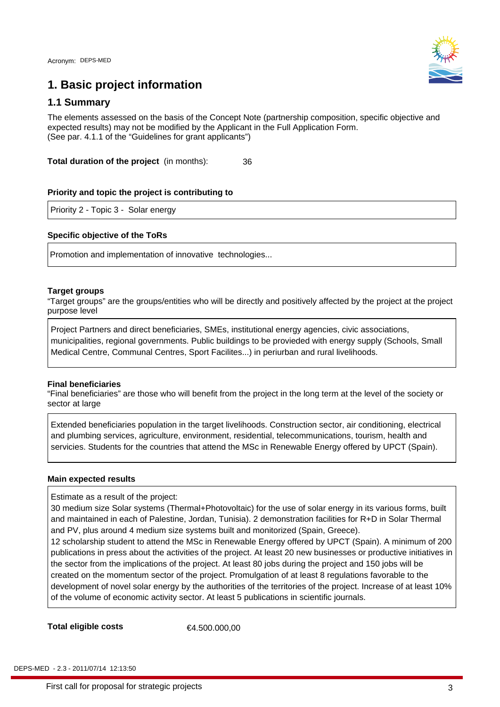

## **1. Basic project information**

### **1.1 Summary**

The elements assessed on the basis of the Concept Note (partnership composition, specific objective and expected results) may not be modified by the Applicant in the Full Application Form. (See par. 4.1.1 of the "Guidelines for grant applicants")

**Total duration of the project** (in months): 36

#### **Priority and topic the project is contributing to**

Priority 2 - Topic 3 - Solar energy

#### **Specific objective of the ToRs**

Promotion and implementation of innovative technologies...

#### **Target groups**

"Target groups" are the groups/entities who will be directly and positively affected by the project at the project purpose level

Project Partners and direct beneficiaries, SMEs, institutional energy agencies, civic associations, municipalities, regional governments. Public buildings to be provieded with energy supply (Schools, Small Medical Centre, Communal Centres, Sport Facilites...) in periurban and rural livelihoods.

#### **Final beneficiaries**

"Final beneficiaries" are those who will benefit from the project in the long term at the level of the society or sector at large

Extended beneficiaries population in the target livelihoods. Construction sector, air conditioning, electrical and plumbing services, agriculture, environment, residential, telecommunications, tourism, health and servicies. Students for the countries that attend the MSc in Renewable Energy offered by UPCT (Spain).

#### **Main expected results**

Estimate as a result of the project:

30 medium size Solar systems (Thermal+Photovoltaic) for the use of solar energy in its various forms, built and maintained in each of Palestine, Jordan, Tunisia). 2 demonstration facilities for R+D in Solar Thermal and PV, plus around 4 medium size systems built and monitorized (Spain, Greece).

12 scholarship student to attend the MSc in Renewable Energy offered by UPCT (Spain). A minimum of 200 publications in press about the activities of the project. At least 20 new businesses or productive initiatives in the sector from the implications of the project. At least 80 jobs during the project and 150 jobs will be created on the momentum sector of the project. Promulgation of at least 8 regulations favorable to the development of novel solar energy by the authorities of the territories of the project. Increase of at least 10% of the volume of economic activity sector. At least 5 publications in scientific journals.

**Total eligible costs**

€4.500.000,00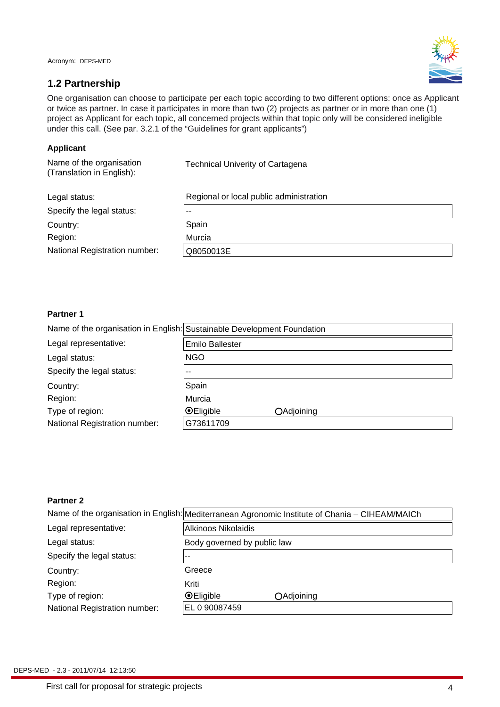### **1.2 Partnership**



One organisation can choose to participate per each topic according to two different options: once as Applicant or twice as partner. In case it participates in more than two (2) projects as partner or in more than one (1) project as Applicant for each topic, all concerned projects within that topic only will be considered ineligible under this call. (See par. 3.2.1 of the "Guidelines for grant applicants")

#### **Applicant**

| Name of the organisation<br>(Translation in English): | <b>Technical Univerity of Cartagena</b> |
|-------------------------------------------------------|-----------------------------------------|
| Legal status:                                         | Regional or local public administration |
| Specify the legal status:                             |                                         |
| Country:                                              | Spain                                   |
| Region:                                               | Murcia                                  |
| National Registration number:                         | Q8050013E                               |

#### **Partner 1**

| Name of the organisation in English: Sustainable Development Foundation |                        |            |  |
|-------------------------------------------------------------------------|------------------------|------------|--|
| Legal representative:                                                   | <b>Emilo Ballester</b> |            |  |
| Legal status:                                                           | <b>NGO</b>             |            |  |
| Specify the legal status:                                               | $- -$                  |            |  |
| Country:                                                                | Spain                  |            |  |
| Region:                                                                 | Murcia                 |            |  |
| Type of region:                                                         | <b>OEligible</b>       | OAdjoining |  |
| National Registration number:                                           | G73611709              |            |  |

#### **Partner 2**

|                               |                             | Name of the organisation in English: Mediterranean Agronomic Institute of Chania - CIHEAM/MAICh |  |
|-------------------------------|-----------------------------|-------------------------------------------------------------------------------------------------|--|
| Legal representative:         | Alkinoos Nikolaidis         |                                                                                                 |  |
| Legal status:                 | Body governed by public law |                                                                                                 |  |
| Specify the legal status:     |                             |                                                                                                 |  |
| Country:                      | Greece                      |                                                                                                 |  |
| Region:                       | Kriti                       |                                                                                                 |  |
| Type of region:               | <b>OEligible</b>            | OAdjoining                                                                                      |  |
| National Registration number: | EL 0 90087459               |                                                                                                 |  |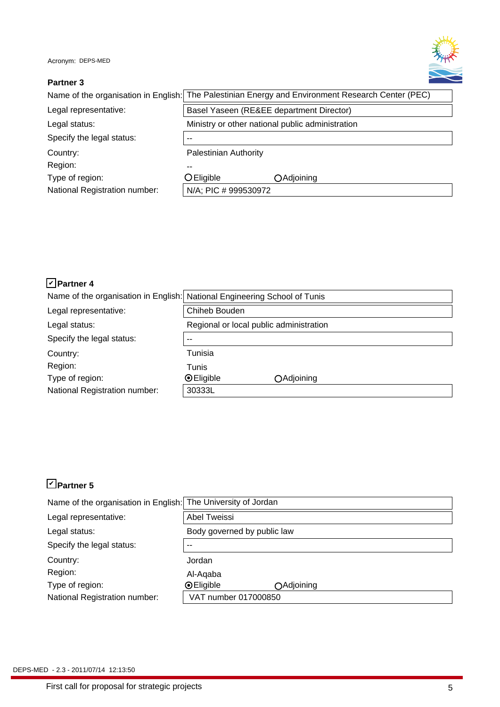

### **Partner 3**

|                               |                                                  | Name of the organisation in English: The Palestinian Energy and Environment Research Center (PEC) |  |
|-------------------------------|--------------------------------------------------|---------------------------------------------------------------------------------------------------|--|
| Legal representative:         | Basel Yaseen (RE&EE department Director)         |                                                                                                   |  |
| Legal status:                 | Ministry or other national public administration |                                                                                                   |  |
| Specify the legal status:     | $- -$                                            |                                                                                                   |  |
| Country:                      | Palestinian Authority                            |                                                                                                   |  |
| Region:                       | --                                               |                                                                                                   |  |
| Type of region:               | O Eligible                                       | ○ Adjoining                                                                                       |  |
| National Registration number: | N/A; PIC # 999530972                             |                                                                                                   |  |

### **□ Partner 4** ✔

|                               | Name of the organisation in English: National Engineering School of Tunis |                   |  |
|-------------------------------|---------------------------------------------------------------------------|-------------------|--|
| Legal representative:         | Chiheb Bouden                                                             |                   |  |
| Legal status:                 | Regional or local public administration                                   |                   |  |
| Specify the legal status:     | $- -$                                                                     |                   |  |
| Country:                      | Tunisia                                                                   |                   |  |
| Region:                       | Tunis                                                                     |                   |  |
| Type of region:               | $\odot$ Eligible                                                          | <b>OAdjoining</b> |  |
| National Registration number: | 30333L                                                                    |                   |  |

### **□ Partner 5** ✔

| Name of the organisation in English: The University of Jordan |                                |  |  |
|---------------------------------------------------------------|--------------------------------|--|--|
| Legal representative:                                         | <b>Abel Tweissi</b>            |  |  |
| Legal status:                                                 | Body governed by public law    |  |  |
| Specify the legal status:                                     | $\sim$ $\sim$                  |  |  |
| Country:                                                      | Jordan                         |  |  |
| Region:                                                       | Al-Aqaba                       |  |  |
| Type of region:                                               | <b>⊙Eligible</b><br>∩Adjoining |  |  |
| National Registration number:                                 | VAT number 017000850           |  |  |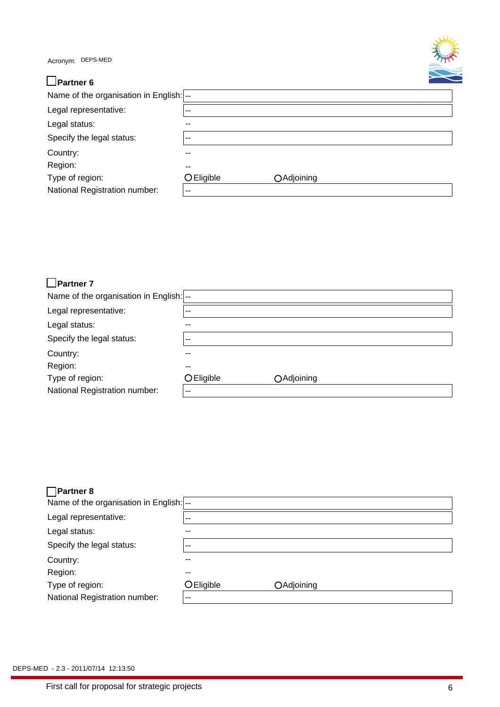| $\Box$ Partner 6 |  |
|------------------|--|
|------------------|--|

| Name of the organisation in English: -- |               |                   |
|-----------------------------------------|---------------|-------------------|
| Legal representative:                   | $- -$         |                   |
| Legal status:                           | --            |                   |
| Specify the legal status:               | $\sim$ $\sim$ |                   |
| Country:                                |               |                   |
| Region:                                 | --            |                   |
| Type of region:                         | O Eligible    | <b>OAdjoining</b> |
| National Registration number:           | $- -$         |                   |

#### **□ Partner 7** Name of the organisation in English: --Type of region: ○ Eligible ○ Adjoining Country: Region: Legal status: Specify the legal status: Legal representative: National Registration number: -- -- -- -- -- --

| $\Box$ Partner 8<br>Name of the organisation in English: -- |           |             |
|-------------------------------------------------------------|-----------|-------------|
|                                                             |           |             |
| Legal representative:                                       | $-$       |             |
| Legal status:                                               | --        |             |
| Specify the legal status:                                   | $-$       |             |
| Country:                                                    | --        |             |
| Region:                                                     | --        |             |
| Type of region:                                             | OEligible | ○ Adjoining |
| National Registration number:                               | $-$       |             |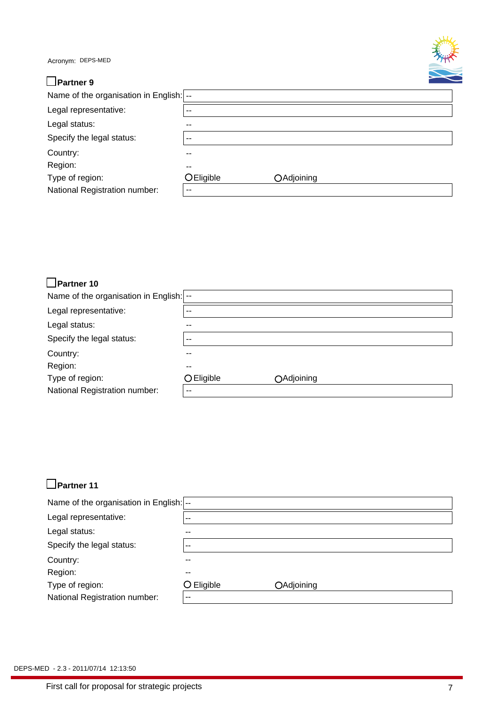| <b>∟Partner 9</b> |  |
|-------------------|--|
|-------------------|--|

| Name of the organisation in English: -- |           |            |
|-----------------------------------------|-----------|------------|
| Legal representative:                   |           |            |
| Legal status:                           | --        |            |
| Specify the legal status:               | $-$       |            |
| Country:                                |           |            |
| Region:                                 | --        |            |
| Type of region:                         | OEligible | OAdjoining |
| National Registration number:           | $-$       |            |

#### **□ Partner 10** Name of the organisation in English: |--Type of region: <br> O Eligible 
<br>
O Adjoining Country: Region: Legal status: Specify the legal status: Legal representative: National Registration number: -- -- -- -- -- --

### **□ Partner 11**

| Name of the organisation in English: -- |            |                   |
|-----------------------------------------|------------|-------------------|
| Legal representative:                   | --         |                   |
| Legal status:                           | $- -$      |                   |
| Specify the legal status:               | $- -$      |                   |
| Country:                                | --         |                   |
| Region:                                 | $- -$      |                   |
| Type of region:                         | O Eligible | <b>OAdjoining</b> |
| National Registration number:           | $- -$      |                   |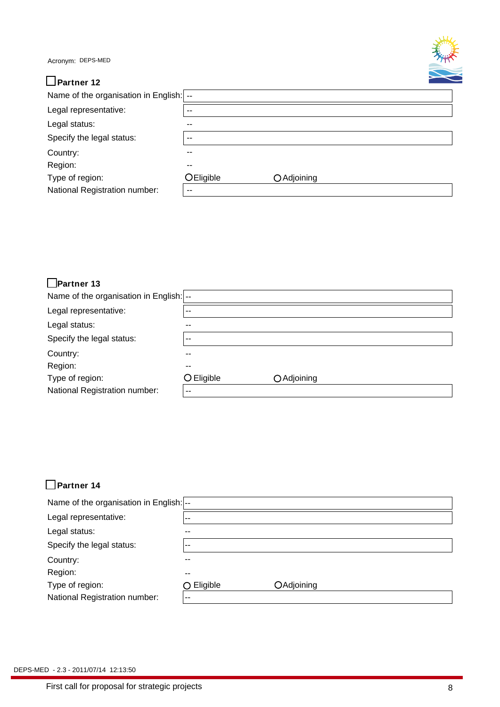| Name of the organisation in English:   -- |           |             |
|-------------------------------------------|-----------|-------------|
| Legal representative:                     | $- -$     |             |
| Legal status:                             | --        |             |
| Specify the legal status:                 | $- -$     |             |
| Country:                                  | --        |             |
| Region:                                   | $- -$     |             |
| Type of region:                           | OEligible | O Adjoining |
| National Registration number:             | $- -$     |             |

#### **□ Partner 13**  Name of the organisation in English: --Type of region: <br> O Eligible 
<br>
O Adjoining Country: Region: Legal status: Specify the legal status: Legal representative: National Registration number: -- -- -- -- -- --

## **□ Partner 14**

| Name of the organisation in English: -- |                     |            |
|-----------------------------------------|---------------------|------------|
| Legal representative:                   | --                  |            |
| Legal status:                           | --                  |            |
| Specify the legal status:               | --                  |            |
| Country:                                | $- -$               |            |
| Region:                                 | --                  |            |
| Type of region:                         | $\bigcirc$ Eligible | OAdjoining |
| National Registration number:           | $\sim$ $\sim$       |            |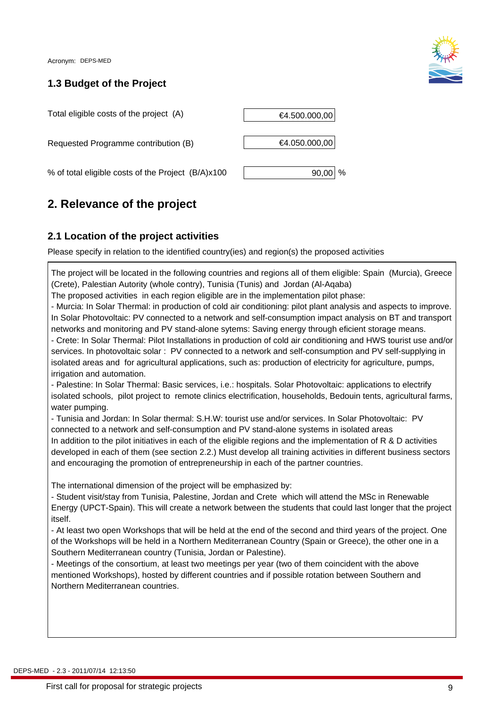

### **1.3 Budget of the Project**

| Total eligible costs of the project (A)            | €4.500.000,00 |
|----------------------------------------------------|---------------|
| Requested Programme contribution (B)               | €4.050.000,00 |
| % of total eligible costs of the Project (B/A)x100 | 90.00         |

## **2. Relevance of the project**

### **2.1 Location of the project activities**

Please specify in relation to the identified country(ies) and region(s) the proposed activities

The project will be located in the following countries and regions all of them eligible: Spain (Murcia), Greece (Crete), Palestian Autority (whole contry), Tunisia (Tunis) and Jordan (Al-Aqaba)

The proposed activities in each region eligible are in the implementation pilot phase:

- Murcia: In Solar Thermal: in production of cold air conditioning: pilot plant analysis and aspects to improve. In Solar Photovoltaic: PV connected to a network and self-consumption impact analysis on BT and transport networks and monitoring and PV stand-alone sytems: Saving energy through eficient storage means.

- Crete: In Solar Thermal: Pilot Installations in production of cold air conditioning and HWS tourist use and/or services. In photovoltaic solar : PV connected to a network and self-consumption and PV self-supplying in isolated areas and for agricultural applications, such as: production of electricity for agriculture, pumps, irrigation and automation.

- Palestine: In Solar Thermal: Basic services, i.e.: hospitals. Solar Photovoltaic: applications to electrify isolated schools, pilot project to remote clinics electrification, households, Bedouin tents, agricultural farms, water pumping.

- Tunisia and Jordan: In Solar thermal: S.H.W: tourist use and/or services. In Solar Photovoltaic: PV connected to a network and self-consumption and PV stand-alone systems in isolated areas In addition to the pilot initiatives in each of the eligible regions and the implementation of R & D activities developed in each of them (see section 2.2.) Must develop all training activities in different business sectors and encouraging the promotion of entrepreneurship in each of the partner countries.

The international dimension of the project will be emphasized by:

- Student visit/stay from Tunisia, Palestine, Jordan and Crete which will attend the MSc in Renewable Energy (UPCT-Spain). This will create a network between the students that could last longer that the project itself.

- At least two open Workshops that will be held at the end of the second and third years of the project. One of the Workshops will be held in a Northern Mediterranean Country (Spain or Greece), the other one in a Southern Mediterranean country (Tunisia, Jordan or Palestine).

- Meetings of the consortium, at least two meetings per year (two of them coincident with the above mentioned Workshops), hosted by different countries and if possible rotation between Southern and Northern Mediterranean countries.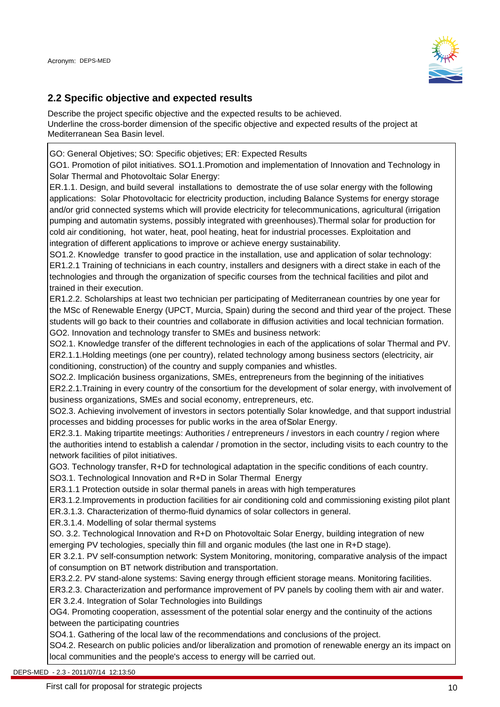

### **2.2 Specific objective and expected results**

Describe the project specific objective and the expected results to be achieved. Underline the cross-border dimension of the specific objective and expected results of the project at Mediterranean Sea Basin level.

GO: General Objetives; SO: Specific objetives; ER: Expected Results

GO1. Promotion of pilot initiatives. SO1.1.Promotion and implementation of Innovation and Technology in Solar Thermal and Photovoltaic Solar Energy:

ER.1.1. Design, and build several installations to demostrate the of use solar energy with the following applications: Solar Photovoltacic for electricity production, including Balance Systems for energy storage and/or grid connected systems which will provide electricity for telecommunications, agricultural (irrigation pumping and automatin systems, possibly integrated with greenhouses).Thermal solar for production for cold air conditioning, hot water, heat, pool heating, heat for industrial processes. Exploitation and integration of different applications to improve or achieve energy sustainability.

SO1.2. Knowledge transfer to good practice in the installation, use and application of solar technology: ER1.2.1 Training of technicians in each country, installers and designers with a direct stake in each of the technologies and through the organization of specific courses from the technical facilities and pilot and trained in their execution.

ER1.2.2. Scholarships at least two technician per participating of Mediterranean countries by one year for the MSc of Renewable Energy (UPCT, Murcia, Spain) during the second and third year of the project. These students will go back to their countries and collaborate in diffusion activities and local technician formation. GO2. Innovation and technology transfer to SMEs and business network:

SO2.1. Knowledge transfer of the different technologies in each of the applications of solar Thermal and PV. ER2.1.1.Holding meetings (one per country), related technology among business sectors (electricity, air conditioning, construction) of the country and supply companies and whistles.

SO2.2. Implicación business organizations, SMEs, entrepreneurs from the beginning of the initiatives

ER2.2.1.Training in every country of the consortium for the development of solar energy, with involvement of business organizations, SMEs and social economy, entrepreneurs, etc.

SO2.3. Achieving involvement of investors in sectors potentially Solar knowledge, and that support industrial processes and bidding processes for public works in the area of Solar Energy.

ER2.3.1. Making tripartite meetings: Authorities / entrepreneurs / investors in each country / region where the authorities intend to establish a calendar / promotion in the sector, including visits to each country to the network facilities of pilot initiatives.

GO3. Technology transfer, R+D for technological adaptation in the specific conditions of each country.

SO3.1. Technological Innovation and R+D in Solar Thermal Energy

ER3.1.1 Protection outside in solar thermal panels in areas with high temperatures

ER3.1.2.Improvements in production facilities for air conditioning cold and commissioning existing pilot plant

ER.3.1.3. Characterization of thermo-fluid dynamics of solar collectors in general.

ER.3.1.4. Modelling of solar thermal systems

SO. 3.2. Technological Innovation and R+D on Photovoltaic Solar Energy, building integration of new emerging PV techologies, specially thin fill and organic modules (the last one in R+D stage).

ER 3.2.1. PV self-consumption network: System Monitoring, monitoring, comparative analysis of the impact of consumption on BT network distribution and transportation.

ER3.2.2. PV stand-alone systems: Saving energy through efficient storage means. Monitoring facilities.

ER3.2.3. Characterization and performance improvement of PV panels by cooling them with air and water.

ER 3.2.4. Integration of Solar Technologies into Buildings

OG4. Promoting cooperation, assessment of the potential solar energy and the continuity of the actions between the participating countries

SO4.1. Gathering of the local law of the recommendations and conclusions of the project.

SO4.2. Research on public policies and/or liberalization and promotion of renewable energy an its impact on local communities and the people's access to energy will be carried out.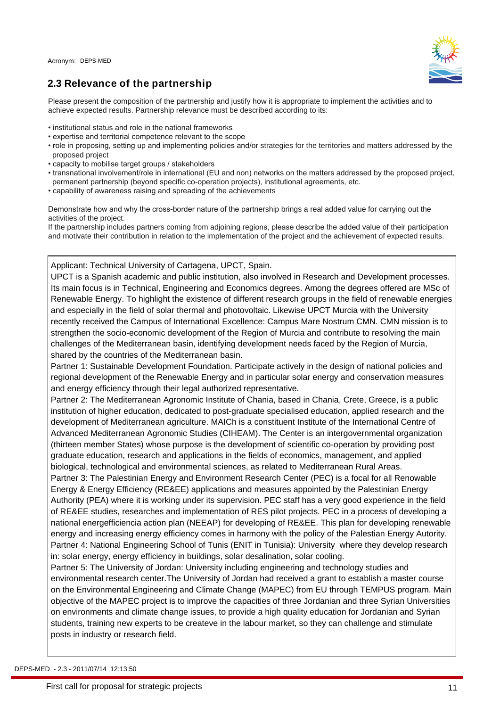### **2.3 Relevance of the partnership**



- institutional status and role in the national frameworks
- expertise and territorial competence relevant to the scope
- role in proposing, setting up and implementing policies and/or strategies for the territories and matters addressed by the proposed project
- capacity to mobilise target groups / stakeholders
- transnational involvement/role in international (EU and non) networks on the matters addressed by the proposed project, permanent partnership (beyond specific co-operation projects), institutional agreements, etc.
- capability of awareness raising and spreading of the achievements

Demonstrate how and why the cross-border nature of the partnership brings a real added value for carrying out the activities of the project.

If the partnership includes partners coming from adjoining regions, please describe the added value of their participation and motivate their contribution in relation to the implementation of the project and the achievement of expected results.

Applicant: Technical University of Cartagena, UPCT, Spain.

UPCT is a Spanish academic and public institution, also involved in Research and Development processes. Its main focus is in Technical, Engineering and Economics degrees. Among the degrees offered are MSc of Renewable Energy. To highlight the existence of different research groups in the field of renewable energies and especially in the field of solar thermal and photovoltaic. Likewise UPCT Murcia with the University recently received the Campus of International Excellence: Campus Mare Nostrum CMN. CMN mission is to strengthen the socio-economic development of the Region of Murcia and contribute to resolving the main challenges of the Mediterranean basin, identifying development needs faced by the Region of Murcia, shared by the countries of the Mediterranean basin.

Partner 1: Sustainable Development Foundation. Participate actively in the design of national policies and regional development of the Renewable Energy and in particular solar energy and conservation measures and energy efficiency through their legal authorized representative.

Partner 2: The Mediterranean Agronomic Institute of Chania, based in Chania, Crete, Greece, is a public institution of higher education, dedicated to post-graduate specialised education, applied research and the development of Mediterranean agriculture. MAICh is a constituent Institute of the International Centre of Advanced Mediterranean Agronomic Studies (CIHEAM). The Center is an intergovernmental organization (thirteen member States) whose purpose is the development of scientific co-operation by providing post graduate education, research and applications in the fields of economics, management, and applied biological, technological and environmental sciences, as related to Mediterranean Rural Areas.

Partner 3: The Palestinian Energy and Environment Research Center (PEC) is a focal for all Renowable Energy & Energy Efficiency (RE&EE) applications and measures appointed by the Palestinian Energy Authority (PEA) where it is working under its supervision. PEC staff has a very good experience in the field of RE&EE studies, researches and implementation of RES pilot projects. PEC in a process of developing a national energefficiencia action plan (NEEAP) for developing of RE&EE. This plan for developing renewable energy and increasing energy efficiency comes in harmony with the policy of the Palestian Energy Autority. Partner 4: National Engineering School of Tunis (ENIT in Tunisia): University where they develop research in: solar energy, energy efficiency in buildings, solar desalination, solar cooling.

Partner 5: The University of Jordan: University including engineering and technology studies and environmental research center.The University of Jordan had received a grant to establish a master course on the Environmental Engineering and Climate Change (MAPEC) from EU through TEMPUS program. Main objective of the MAPEC project is to improve the capacities of three Jordanian and three Syrian Universities on environments and climate change issues, to provide a high quality education for Jordanian and Syrian students, training new experts to be createve in the labour market, so they can challenge and stimulate posts in industry or research field.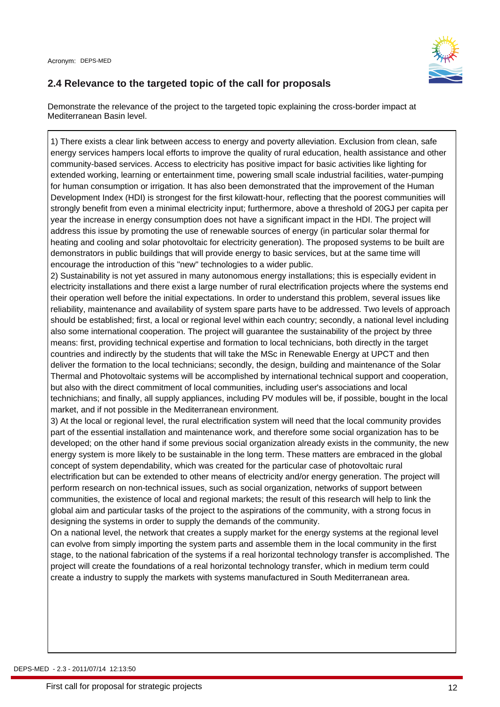

### **2.4 Relevance to the targeted topic of the call for proposals**

Demonstrate the relevance of the project to the targeted topic explaining the cross-border impact at Mediterranean Basin level.

1) There exists a clear link between access to energy and poverty alleviation. Exclusion from clean, safe energy services hampers local efforts to improve the quality of rural education, health assistance and other community-based services. Access to electricity has positive impact for basic activities like lighting for extended working, learning or entertainment time, powering small scale industrial facilities, water-pumping for human consumption or irrigation. It has also been demonstrated that the improvement of the Human Development Index (HDI) is strongest for the first kilowatt-hour, reflecting that the poorest communities will strongly benefit from even a minimal electricity input; furthermore, above a threshold of 20GJ per capita per year the increase in energy consumption does not have a significant impact in the HDI. The project will address this issue by promoting the use of renewable sources of energy (in particular solar thermal for heating and cooling and solar photovoltaic for electricity generation). The proposed systems to be built are demonstrators in public buildings that will provide energy to basic services, but at the same time will encourage the introduction of this "new" technologies to a wider public.

2) Sustainability is not yet assured in many autonomous energy installations; this is especially evident in electricity installations and there exist a large number of rural electrification projects where the systems end their operation well before the initial expectations. In order to understand this problem, several issues like reliability, maintenance and availability of system spare parts have to be addressed. Two levels of approach should be established; first, a local or regional level within each country; secondly, a national level including also some international cooperation. The project will guarantee the sustainability of the project by three means: first, providing technical expertise and formation to local technicians, both directly in the target countries and indirectly by the students that will take the MSc in Renewable Energy at UPCT and then deliver the formation to the local technicians; secondly, the design, building and maintenance of the Solar Thermal and Photovoltaic systems will be accomplished by international technical support and cooperation, but also with the direct commitment of local communities, including user's associations and local technichians; and finally, all supply appliances, including PV modules will be, if possible, bought in the local market, and if not possible in the Mediterranean environment.

3) At the local or regional level, the rural electrification system will need that the local community provides part of the essential installation and maintenance work, and therefore some social organization has to be developed; on the other hand if some previous social organization already exists in the community, the new energy system is more likely to be sustainable in the long term. These matters are embraced in the global concept of system dependability, which was created for the particular case of photovoltaic rural electrification but can be extended to other means of electricity and/or energy generation. The project will perform research on non-technical issues, such as social organization, networks of support between communities, the existence of local and regional markets; the result of this research will help to link the global aim and particular tasks of the project to the aspirations of the community, with a strong focus in designing the systems in order to supply the demands of the community.

On a national level, the network that creates a supply market for the energy systems at the regional level can evolve from simply importing the system parts and assemble them in the local community in the first stage, to the national fabrication of the systems if a real horizontal technology transfer is accomplished. The project will create the foundations of a real horizontal technology transfer, which in medium term could create a industry to supply the markets with systems manufactured in South Mediterranean area.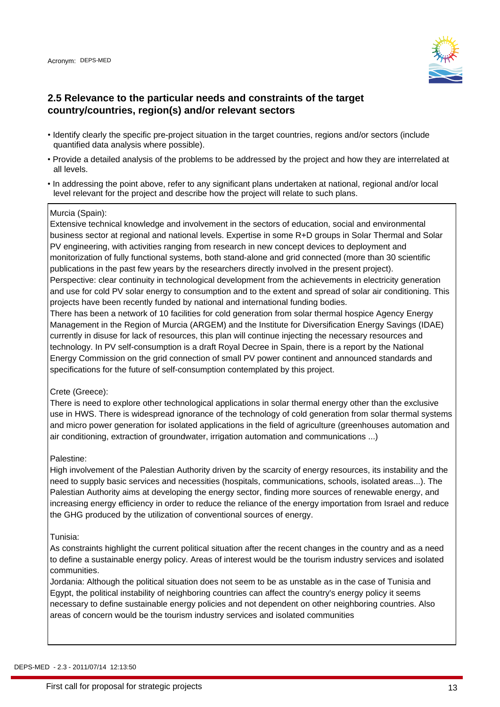

### **2.5 Relevance to the particular needs and constraints of the target country/countries, region(s) and/or relevant sectors**

- Identify clearly the specific pre-project situation in the target countries, regions and/or sectors (include quantified data analysis where possible).
- Provide a detailed analysis of the problems to be addressed by the project and how they are interrelated at all levels.
- In addressing the point above, refer to any significant plans undertaken at national, regional and/or local level relevant for the project and describe how the project will relate to such plans.

#### Murcia (Spain):

Extensive technical knowledge and involvement in the sectors of education, social and environmental business sector at regional and national levels. Expertise in some R+D groups in Solar Thermal and Solar PV engineering, with activities ranging from research in new concept devices to deployment and monitorization of fully functional systems, both stand-alone and grid connected (more than 30 scientific publications in the past few years by the researchers directly involved in the present project). Perspective: clear continuity in technological development from the achievements in electricity generation and use for cold PV solar energy to consumption and to the extent and spread of solar air conditioning. This projects have been recently funded by national and international funding bodies.

There has been a network of 10 facilities for cold generation from solar thermal hospice Agency Energy Management in the Region of Murcia (ARGEM) and the Institute for Diversification Energy Savings (IDAE) currently in disuse for lack of resources, this plan will continue injecting the necessary resources and technology. In PV self-consumption is a draft Royal Decree in Spain, there is a report by the National Energy Commission on the grid connection of small PV power continent and announced standards and specifications for the future of self-consumption contemplated by this project.

#### Crete (Greece):

There is need to explore other technological applications in solar thermal energy other than the exclusive use in HWS. There is widespread ignorance of the technology of cold generation from solar thermal systems and micro power generation for isolated applications in the field of agriculture (greenhouses automation and air conditioning, extraction of groundwater, irrigation automation and communications ...)

#### Palestine:

High involvement of the Palestian Authority driven by the scarcity of energy resources, its instability and the need to supply basic services and necessities (hospitals, communications, schools, isolated areas...). The Palestian Authority aims at developing the energy sector, finding more sources of renewable energy, and increasing energy efficiency in order to reduce the reliance of the energy importation from Israel and reduce the GHG produced by the utilization of conventional sources of energy.

#### Tunisia:

As constraints highlight the current political situation after the recent changes in the country and as a need to define a sustainable energy policy. Areas of interest would be the tourism industry services and isolated communities.

Jordania: Although the political situation does not seem to be as unstable as in the case of Tunisia and Egypt, the political instability of neighboring countries can affect the country's energy policy it seems necessary to define sustainable energy policies and not dependent on other neighboring countries. Also areas of concern would be the tourism industry services and isolated communities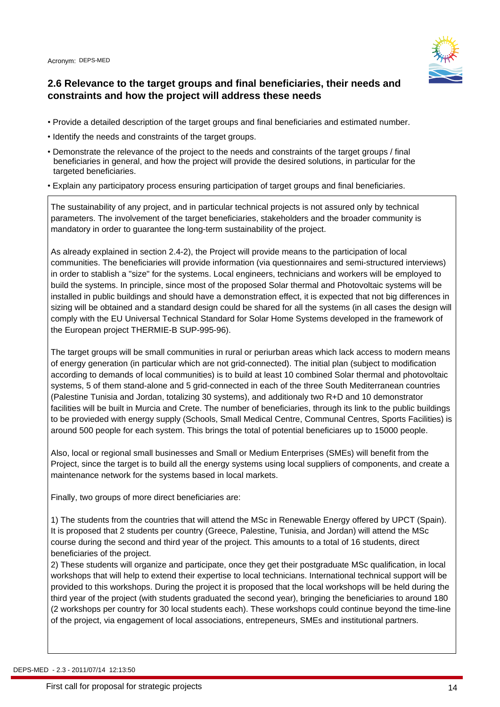

### **2.6 Relevance to the target groups and final beneficiaries, their needs and constraints and how the project will address these needs**

- Provide a detailed description of the target groups and final beneficiaries and estimated number.
- Identify the needs and constraints of the target groups.
- Demonstrate the relevance of the project to the needs and constraints of the target groups / final beneficiaries in general, and how the project will provide the desired solutions, in particular for the targeted beneficiaries.
- Explain any participatory process ensuring participation of target groups and final beneficiaries.

The sustainability of any project, and in particular technical projects is not assured only by technical parameters. The involvement of the target beneficiaries, stakeholders and the broader community is mandatory in order to guarantee the long-term sustainability of the project.

As already explained in section 2.4-2), the Project will provide means to the participation of local communities. The beneficiaries will provide information (via questionnaires and semi-structured interviews) in order to stablish a "size" for the systems. Local engineers, technicians and workers will be employed to build the systems. In principle, since most of the proposed Solar thermal and Photovoltaic systems will be installed in public buildings and should have a demonstration effect, it is expected that not big differences in sizing will be obtained and a standard design could be shared for all the systems (in all cases the design will comply with the EU Universal Technical Standard for Solar Home Systems developed in the framework of the European project THERMIE-B SUP-995-96).

The target groups will be small communities in rural or periurban areas which lack access to modern means of energy generation (in particular which are not grid-connected). The initial plan (subject to modification according to demands of local communities) is to build at least 10 combined Solar thermal and photovoltaic systems, 5 of them stand-alone and 5 grid-connected in each of the three South Mediterranean countries (Palestine Tunisia and Jordan, totalizing 30 systems), and additionaly two R+D and 10 demonstrator facilities will be built in Murcia and Crete. The number of beneficiaries, through its link to the public buildings to be provieded with energy supply (Schools, Small Medical Centre, Communal Centres, Sports Facilities) is around 500 people for each system. This brings the total of potential beneficiares up to 15000 people.

Also, local or regional small businesses and Small or Medium Enterprises (SMEs) will benefit from the Project, since the target is to build all the energy systems using local suppliers of components, and create a maintenance network for the systems based in local markets.

Finally, two groups of more direct beneficiaries are:

1) The students from the countries that will attend the MSc in Renewable Energy offered by UPCT (Spain). It is proposed that 2 students per country (Greece, Palestine, Tunisia, and Jordan) will attend the MSc course during the second and third year of the project. This amounts to a total of 16 students, direct beneficiaries of the project.

2) These students will organize and participate, once they get their postgraduate MSc qualification, in local workshops that will help to extend their expertise to local technicians. International technical support will be provided to this workshops. During the project it is proposed that the local workshops will be held during the third year of the project (with students graduated the second year), bringing the beneficiaries to around 180 (2 workshops per country for 30 local students each). These workshops could continue beyond the time-line of the project, via engagement of local associations, entrepeneurs, SMEs and institutional partners.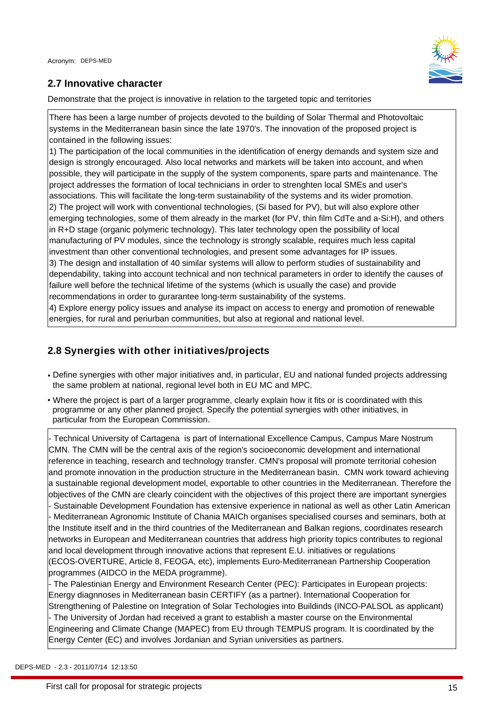### **2.7 Innovative character**

Demonstrate that the project is innovative in relation to the targeted topic and territories

There has been a large number of projects devoted to the building of Solar Thermal and Photovoltaic systems in the Mediterranean basin since the late 1970's. The innovation of the proposed project is contained in the following issues:

1) The participation of the local communities in the identification of energy demands and system size and design is strongly encouraged. Also local networks and markets will be taken into account, and when possible, they will participate in the supply of the system components, spare parts and maintenance. The project addresses the formation of local technicians in order to strenghten local SMEs and user's associations. This will facilitate the long-term sustainability of the systems and its wider promotion. 2) The project will work with conventional technologies, (Si based for PV), but will also explore other emerging technologies, some of them already in the market (for PV, thin film CdTe and a-Si:H), and others in R+D stage (organic polymeric technology). This later technology open the possibility of local manufacturing of PV modules, since the technology is strongly scalable, requires much less capital investment than other conventional technologies, and present some advantages for IP issues. 3) The design and installation of 40 similar systems will allow to perform studies of sustainability and dependability, taking into account technical and non technical parameters in order to identify the causes of failure well before the technical lifetime of the systems (which is usually the case) and provide recommendations in order to gurarantee long-term sustainability of the systems.

4) Explore energy policy issues and analyse its impact on access to energy and promotion of renewable energies, for rural and periurban communities, but also at regional and national level.

### **2.8 Synergies with other initiatives/projects**

- Define synergies with other major initiatives and, in particular, EU and national funded projects addressing the same problem at national, regional level both in EU MC and MPC.
- Where the project is part of a larger programme, clearly explain how it fits or is coordinated with this programme or any other planned project. Specify the potential synergies with other initiatives, in particular from the European Commission.

- Technical University of Cartagena is part of International Excellence Campus, Campus Mare Nostrum CMN. The CMN will be the central axis of the region's socioeconomic development and international reference in teaching, research and technology transfer. CMN's proposal will promote territorial cohesion and promote innovation in the production structure in the Mediterranean basin. CMN work toward achieving a sustainable regional development model, exportable to other countries in the Mediterranean. Therefore the objectives of the CMN are clearly coincident with the objectives of this project there are important synergies - Sustainable Development Foundation has extensive experience in national as well as other Latin American - Mediterranean Agronomic Institute of Chania MAICh organises specialised courses and seminars, both at the Institute itself and in the third countries of the Mediterranean and Balkan regions, coordinates research networks in European and Mediterranean countries that address high priority topics contributes to regional and local development through innovative actions that represent E.U. initiatives or regulations (ECOS-OVERTURE, Article 8, FEOGA, etc), implements Euro-Mediterranean Partnership Cooperation programmes (AIDCO in the MEDA programme).

- The Palestinian Energy and Environment Research Center (PEC): Participates in European projects: Energy diagnnoses in Mediterranean basin CERTIFY (as a partner). International Cooperation for Strengthening of Palestine on Integration of Solar Techologies into Buildinds (INCO-PALSOL as applicant) - The University of Jordan had received a grant to establish a master course on the Environmental Engineering and Climate Change (MAPEC) from EU through TEMPUS program. It is coordinated by the Energy Center (EC) and involves Jordanian and Syrian universities as partners.



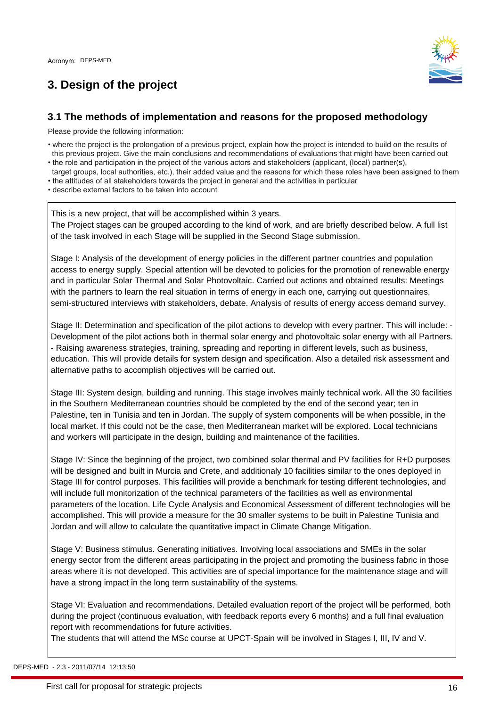## **3. Design of the project**



### **3.1 The methods of implementation and reasons for the proposed methodology**

Please provide the following information:

- where the project is the prolongation of a previous project, explain how the project is intended to build on the results of this previous project. Give the main conclusions and recommendations of evaluations that might have been carried out
- the role and participation in the project of the various actors and stakeholders (applicant, (local) partner(s),
- target groups, local authorities, etc.), their added value and the reasons for which these roles have been assigned to them
- the attitudes of all stakeholders towards the project in general and the activities in particular
- describe external factors to be taken into account

This is a new project, that will be accomplished within 3 years.

The Project stages can be grouped according to the kind of work, and are briefly described below. A full list of the task involved in each Stage will be supplied in the Second Stage submission.

Stage I: Analysis of the development of energy policies in the different partner countries and population access to energy supply. Special attention will be devoted to policies for the promotion of renewable energy and in particular Solar Thermal and Solar Photovoltaic. Carried out actions and obtained results: Meetings with the partners to learn the real situation in terms of energy in each one, carrying out questionnaires, semi-structured interviews with stakeholders, debate. Analysis of results of energy access demand survey.

Stage II: Determination and specification of the pilot actions to develop with every partner. This will include: -Development of the pilot actions both in thermal solar energy and photovoltaic solar energy with all Partners. - Raising awareness strategies, training, spreading and reporting in different levels, such as business, education. This will provide details for system design and specification. Also a detailed risk assessment and alternative paths to accomplish objectives will be carried out.

Stage III: System design, building and running. This stage involves mainly technical work. All the 30 facilities in the Southern Mediterranean countries should be completed by the end of the second year; ten in Palestine, ten in Tunisia and ten in Jordan. The supply of system components will be when possible, in the local market. If this could not be the case, then Mediterranean market will be explored. Local technicians and workers will participate in the design, building and maintenance of the facilities.

Stage IV: Since the beginning of the project, two combined solar thermal and PV facilities for R+D purposes will be designed and built in Murcia and Crete, and additionaly 10 facilities similar to the ones deployed in Stage III for control purposes. This facilities will provide a benchmark for testing different technologies, and will include full monitorization of the technical parameters of the facilities as well as environmental parameters of the location. Life Cycle Analysis and Economical Assessment of different technologies will be accomplished. This will provide a measure for the 30 smaller systems to be built in Palestine Tunisia and Jordan and will allow to calculate the quantitative impact in Climate Change Mitigation.

Stage V: Business stimulus. Generating initiatives. Involving local associations and SMEs in the solar energy sector from the different areas participating in the project and promoting the business fabric in those areas where it is not developed. This activities are of special importance for the maintenance stage and will have a strong impact in the long term sustainability of the systems.

Stage VI: Evaluation and recommendations. Detailed evaluation report of the project will be performed, both during the project (continuous evaluation, with feedback reports every 6 months) and a full final evaluation report with recommendations for future activities.

The students that will attend the MSc course at UPCT-Spain will be involved in Stages I, III, IV and V.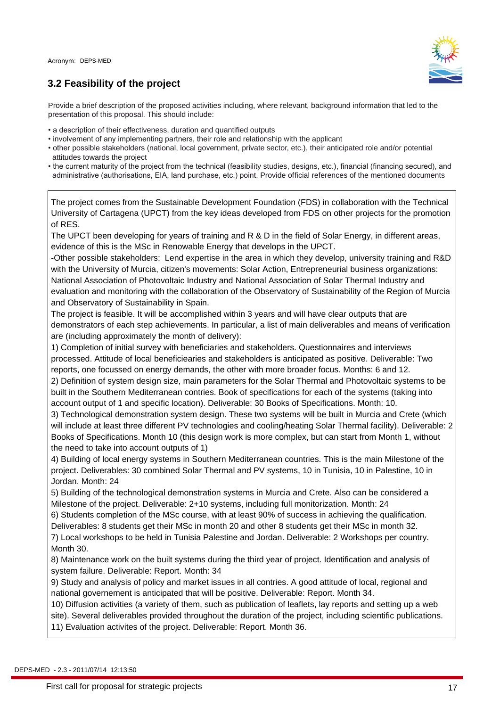### **3.2 Feasibility of the project**



 Provide a brief description of the proposed activities including, where relevant, background information that led to the presentation of this proposal. This should include:

- a description of their effectiveness, duration and quantified outputs
- involvement of any implementing partners, their role and relationship with the applicant
- other possible stakeholders (national, local government, private sector, etc.), their anticipated role and/or potential attitudes towards the project
- the current maturity of the project from the technical (feasibility studies, designs, etc.), financial (financing secured), and administrative (authorisations, EIA, land purchase, etc.) point. Provide official references of the mentioned documents

The project comes from the Sustainable Development Foundation (FDS) in collaboration with the Technical University of Cartagena (UPCT) from the key ideas developed from FDS on other projects for the promotion of RES.

The UPCT been developing for years of training and R & D in the field of Solar Energy, in different areas, evidence of this is the MSc in Renowable Energy that develops in the UPCT.

-Other possible stakeholders: Lend expertise in the area in which they develop, university training and R&D with the University of Murcia, citizen's movements: Solar Action, Entrepreneurial business organizations: National Association of Photovoltaic Industry and National Association of Solar Thermal Industry and evaluation and monitoring with the collaboration of the Observatory of Sustainability of the Region of Murcia and Observatory of Sustainability in Spain.

The project is feasible. It will be accomplished within 3 years and will have clear outputs that are demonstrators of each step achievements. In particular, a list of main deliverables and means of verification are (including approximately the month of delivery):

1) Completion of initial survey with beneficiaries and stakeholders. Questionnaires and interviews processed. Attitude of local beneficiearies and stakeholders is anticipated as positive. Deliverable: Two reports, one focussed on energy demands, the other with more broader focus. Months: 6 and 12.

2) Definition of system design size, main parameters for the Solar Thermal and Photovoltaic systems to be built in the Southern Mediterranean contries. Book of specifications for each of the systems (taking into account output of 1 and specific location). Deliverable: 30 Books of Specifications. Month: 10.

3) Technological demonstration system design. These two systems will be built in Murcia and Crete (which will include at least three different PV technologies and cooling/heating Solar Thermal facility). Deliverable: 2 Books of Specifications. Month 10 (this design work is more complex, but can start from Month 1, without the need to take into account outputs of 1)

4) Building of local energy systems in Southern Mediterranean countries. This is the main Milestone of the project. Deliverables: 30 combined Solar Thermal and PV systems, 10 in Tunisia, 10 in Palestine, 10 in Jordan. Month: 24

5) Building of the technological demonstration systems in Murcia and Crete. Also can be considered a Milestone of the project. Deliverable: 2+10 systems, including full monitorization. Month: 24

6) Students completion of the MSc course, with at least 90% of success in achieving the qualification. Deliverables: 8 students get their MSc in month 20 and other 8 students get their MSc in month 32.

7) Local workshops to be held in Tunisia Palestine and Jordan. Deliverable: 2 Workshops per country. Month 30.

8) Maintenance work on the built systems during the third year of project. Identification and analysis of system failure. Deliverable: Report. Month: 34

9) Study and analysis of policy and market issues in all contries. A good attitude of local, regional and national governement is anticipated that will be positive. Deliverable: Report. Month 34.

10) Diffusion activities (a variety of them, such as publication of leaflets, lay reports and setting up a web site). Several deliverables provided throughout the duration of the project, including scientific publications. 11) Evaluation activites of the project. Deliverable: Report. Month 36.